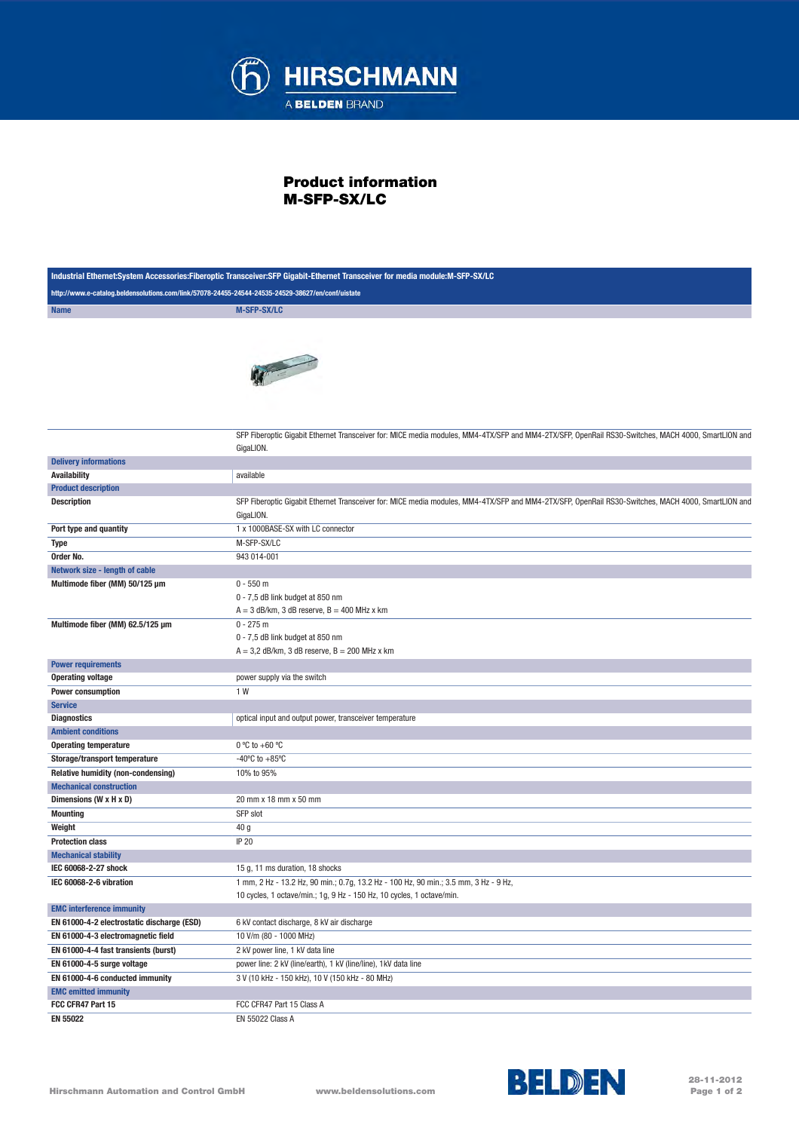

## Product information M-SFP-SX/LC

| Industrial Ethernet:System Accessories:Fiberoptic Transceiver:SFP Gigabit-Ethernet Transceiver for media module:M-SFP-SX/LC |                                                                                                                                                                 |  |
|-----------------------------------------------------------------------------------------------------------------------------|-----------------------------------------------------------------------------------------------------------------------------------------------------------------|--|
| http://www.e-catalog.beldensolutions.com/link/57078-24455-24544-24535-24529-38627/en/conf/uistate                           |                                                                                                                                                                 |  |
| <b>Name</b>                                                                                                                 | <b>M-SFP-SX/LC</b>                                                                                                                                              |  |
|                                                                                                                             |                                                                                                                                                                 |  |
|                                                                                                                             | SFP Fiberoptic Gigabit Ethernet Transceiver for: MICE media modules, MM4-4TX/SFP and MM4-2TX/SFP, OpenRail RS30-Switches, MACH 4000, SmartLION and              |  |
|                                                                                                                             | GigaLION.                                                                                                                                                       |  |
| <b>Delivery informations</b>                                                                                                |                                                                                                                                                                 |  |
| <b>Availability</b>                                                                                                         | available                                                                                                                                                       |  |
| <b>Product description</b>                                                                                                  |                                                                                                                                                                 |  |
| <b>Description</b>                                                                                                          | SFP Fiberoptic Gigabit Ethernet Transceiver for: MICE media modules, MM4-4TX/SFP and MM4-2TX/SFP, OpenRail RS30-Switches, MACH 4000, SmartLION and<br>GigaLION. |  |
| Port type and quantity                                                                                                      | 1 x 1000BASE-SX with LC connector                                                                                                                               |  |
|                                                                                                                             | M-SFP-SX/LC                                                                                                                                                     |  |
| Type<br>Order No.                                                                                                           | 943 014-001                                                                                                                                                     |  |
|                                                                                                                             |                                                                                                                                                                 |  |
| Network size - length of cable<br>Multimode fiber (MM) 50/125 µm                                                            | $0 - 550$ m                                                                                                                                                     |  |
|                                                                                                                             | 0 - 7,5 dB link budget at 850 nm                                                                                                                                |  |
|                                                                                                                             | $A = 3$ dB/km, 3 dB reserve, $B = 400$ MHz x km                                                                                                                 |  |
| Multimode fiber (MM) 62.5/125 µm                                                                                            | $0 - 275$ m                                                                                                                                                     |  |
|                                                                                                                             | 0 - 7,5 dB link budget at 850 nm<br>$A = 3.2$ dB/km, 3 dB reserve, $B = 200$ MHz x km                                                                           |  |
| <b>Power requirements</b>                                                                                                   |                                                                                                                                                                 |  |
| <b>Operating voltage</b>                                                                                                    | power supply via the switch                                                                                                                                     |  |
| <b>Power consumption</b>                                                                                                    | 1 W                                                                                                                                                             |  |
| <b>Service</b>                                                                                                              |                                                                                                                                                                 |  |
| <b>Diagnostics</b>                                                                                                          | optical input and output power, transceiver temperature                                                                                                         |  |
| <b>Ambient conditions</b>                                                                                                   |                                                                                                                                                                 |  |
| <b>Operating temperature</b>                                                                                                | $0 °C$ to +60 $°C$                                                                                                                                              |  |
| Storage/transport temperature                                                                                               | $-40^{\circ}$ C to $+85^{\circ}$ C                                                                                                                              |  |
| <b>Relative humidity (non-condensing)</b>                                                                                   | 10% to 95%                                                                                                                                                      |  |
| <b>Mechanical construction</b>                                                                                              |                                                                                                                                                                 |  |
| Dimensions (W x H x D)                                                                                                      | 20 mm x 18 mm x 50 mm                                                                                                                                           |  |
| <b>Mounting</b>                                                                                                             | SFP slot                                                                                                                                                        |  |
| Weight                                                                                                                      | 40 g                                                                                                                                                            |  |
| <b>Protection class</b>                                                                                                     | <b>IP 20</b>                                                                                                                                                    |  |
| <b>Mechanical stability</b>                                                                                                 |                                                                                                                                                                 |  |
| IEC 60068-2-27 shock                                                                                                        | 15 g, 11 ms duration, 18 shocks                                                                                                                                 |  |
| IEC 60068-2-6 vibration                                                                                                     | 1 mm, 2 Hz - 13.2 Hz, 90 min.; 0.7g, 13.2 Hz - 100 Hz, 90 min.; 3.5 mm, 3 Hz - 9 Hz,                                                                            |  |
|                                                                                                                             | 10 cycles, 1 octave/min.; 1g, 9 Hz - 150 Hz, 10 cycles, 1 octave/min.                                                                                           |  |
| <b>EMC interference immunity</b>                                                                                            |                                                                                                                                                                 |  |
| EN 61000-4-2 electrostatic discharge (ESD)                                                                                  | 6 kV contact discharge, 8 kV air discharge                                                                                                                      |  |
| EN 61000-4-3 electromagnetic field                                                                                          | 10 V/m (80 - 1000 MHz)                                                                                                                                          |  |
| EN 61000-4-4 fast transients (burst)                                                                                        | 2 kV power line, 1 kV data line                                                                                                                                 |  |
| EN 61000-4-5 surge voltage                                                                                                  | power line: 2 kV (line/earth), 1 kV (line/line), 1 kV data line                                                                                                 |  |
| EN 61000-4-6 conducted immunity                                                                                             | 3 V (10 kHz - 150 kHz), 10 V (150 kHz - 80 MHz)                                                                                                                 |  |
| <b>EMC emitted immunity</b>                                                                                                 |                                                                                                                                                                 |  |
| FCC CFR47 Part 15                                                                                                           | FCC CFR47 Part 15 Class A                                                                                                                                       |  |
| <b>EN 55022</b>                                                                                                             | <b>EN 55022 Class A</b>                                                                                                                                         |  |